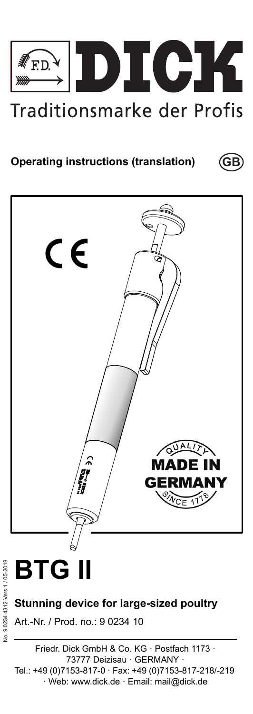

**GB**

# **Operating instructions (translation)**



# **BTG II**

**Stunning device for large-sized poultry**

Art.-Nr. / Prod. no.: 9 0234 10

Friedr. Dick GmbH & Co. KG · Postfach 1173 · 73777 Deizisau · GERMANY · Tel.: +49 (0)7153-817-0 · Fax: +49 (0)7153-817-218/-219 · Web: www.dick.de · Email: mail@dick.de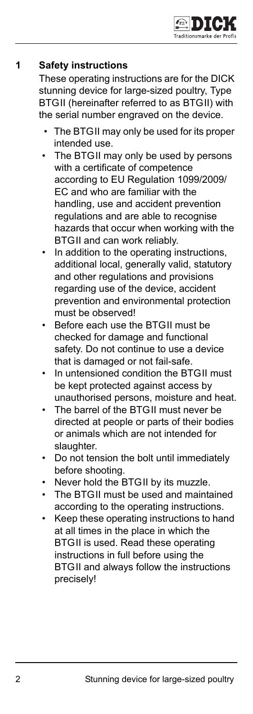

# **1 Safety instructions**

These operating instructions are for the DICK stunning device for large-sized poultry, Type BTGII (hereinafter referred to as BTGII) with the serial number engraved on the device.

- The BTGII may only be used for its proper intended use.
- The BTGII may only be used by persons with a certificate of competence according to EU Regulation 1099/2009/ EC and who are familiar with the handling, use and accident prevention regulations and are able to recognise hazards that occur when working with the BTGII and can work reliably.
- In addition to the operating instructions, additional local, generally valid, statutory and other regulations and provisions regarding use of the device, accident prevention and environmental protection must be observed!
- Before each use the BTGII must be checked for damage and functional safety. Do not continue to use a device that is damaged or not fail-safe.
- In untensioned condition the BTGII must be kept protected against access by unauthorised persons, moisture and heat.
- The barrel of the BTGII must never be directed at people or parts of their bodies or animals which are not intended for slaughter.
- Do not tension the bolt until immediately before shooting.
- Never hold the BTGII by its muzzle.
- The BTGII must be used and maintained according to the operating instructions.
- Keep these operating instructions to hand at all times in the place in which the BTGII is used. Read these operating instructions in full before using the BTGII and always follow the instructions precisely!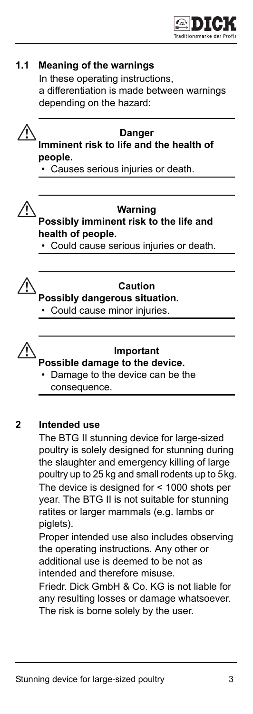



**2 Intended use**

The BTG II stunning device for large-sized poultry is solely designed for stunning during the slaughter and emergency killing of large poultry up to 25 kg and small rodents up to 5kg. The device is designed for < 1000 shots per year. The BTG II is not suitable for stunning ratites or larger mammals (e.g. lambs or piglets).

Proper intended use also includes observing the operating instructions. Any other or additional use is deemed to be not as intended and therefore misuse.

Friedr. Dick GmbH & Co. KG is not liable for any resulting losses or damage whatsoever. The risk is borne solely by the user.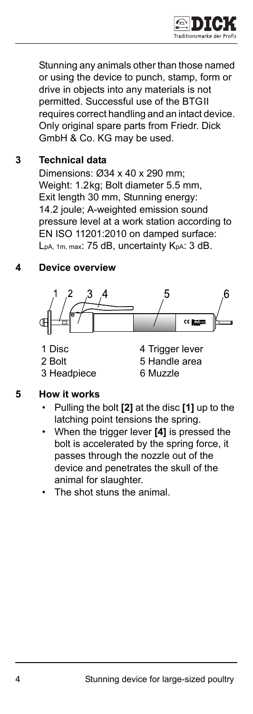

Stunning any animals other than those named or using the device to punch, stamp, form or drive in objects into any materials is not permitted. Successful use of the BTGII requires correct handling and an intact device. Only original spare parts from Friedr. Dick GmbH & Co. KG may be used.

# **3 Technical data**

Dimensions: Ø34 x 40 x 290 mm; Weight: 1.2kg; Bolt diameter 5.5 mm, Exit length 30 mm, Stunning energy: 14.2 joule; A-weighted emission sound pressure level at a work station according to EN ISO 11201:2010 on damped surface: L<sub>pA, 1m, max</sub>: 75 dB, uncertainty K<sub>pA</sub>: 3 dB.

# **4 Device overview**



- 
- 
- 3 Headpiece 6 Muzzle
- 1 Disc 4 Trigger lever 2 Bolt 5 Handle area

- **5 How it works** 
	- Pulling the bolt **[2]** at the disc **[1]** up to the latching point tensions the spring.
	- When the trigger lever **[4]** is pressed the bolt is accelerated by the spring force, it passes through the nozzle out of the device and penetrates the skull of the animal for slaughter.
	- The shot stuns the animal.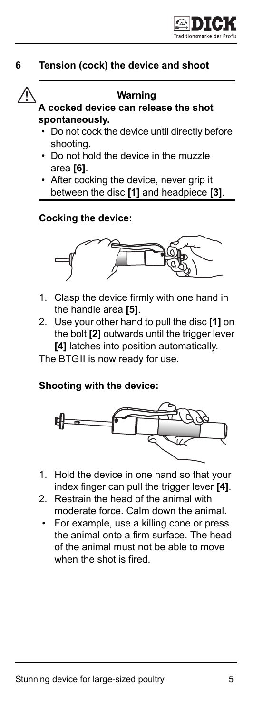

### **6 Tension (cock) the device and shoot**



#### **Warning**

#### **A cocked device can release the shot spontaneously.**

- Do not cock the device until directly before shooting.
- Do not hold the device in the muzzle area **[6]**.
- After cocking the device, never grip it between the disc **[1]** and headpiece **[3]**.

#### **Cocking the device:**



- 1. Clasp the device firmly with one hand in the handle area **[5]**.
- 2. Use your other hand to pull the disc **[1]** on the bolt **[2]** outwards until the trigger lever **[4]** latches into position automatically.

The BTGII is now ready for use.

#### **Shooting with the device:**



- 1. Hold the device in one hand so that your index finger can pull the trigger lever **[4]**.
- 2. Restrain the head of the animal with moderate force. Calm down the animal.
	- For example, use a killing cone or press the animal onto a firm surface. The head of the animal must not be able to move when the shot is fired.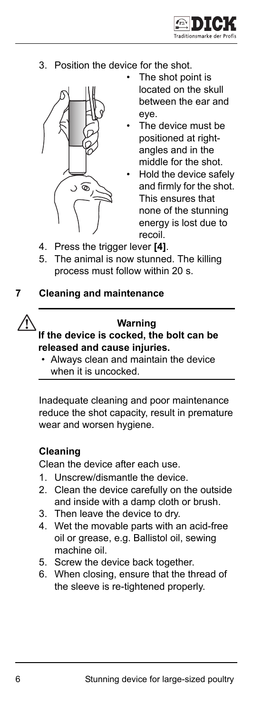

3. Position the device for the shot.



- The shot point is located on the skull between the ear and eye.
- The device must be positioned at rightangles and in the middle for the shot.
- Hold the device safely and firmly for the shot. This ensures that none of the stunning energy is lost due to recoil.
- 4. Press the trigger lever **[4]**.
- 5. The animal is now stunned. The killing process must follow within 20 s.
- **7 Cleaning and maintenance**



#### **Warning**

**If the device is cocked, the bolt can be released and cause injuries.**

• Always clean and maintain the device when it is uncocked.

Inadequate cleaning and poor maintenance reduce the shot capacity, result in premature wear and worsen hygiene.

#### **Cleaning**

Clean the device after each use.

- 1. Unscrew/dismantle the device.
- 2. Clean the device carefully on the outside and inside with a damp cloth or brush.
- 3. Then leave the device to dry.
- 4. Wet the movable parts with an acid-free oil or grease, e.g. Ballistol oil, sewing machine oil.
- 5. Screw the device back together.
- 6. When closing, ensure that the thread of the sleeve is re-tightened properly.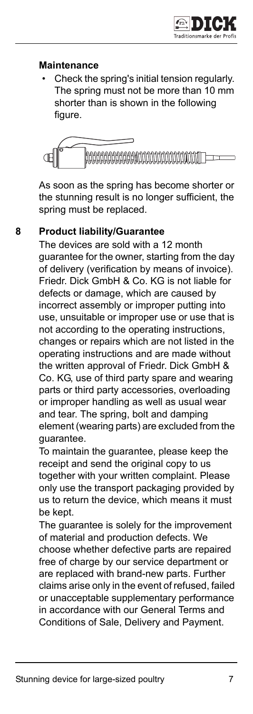# **Maintenance**

• Check the spring's initial tension regularly. The spring must not be more than 10 mm shorter than is shown in the following figure.



As soon as the spring has become shorter or the stunning result is no longer sufficient, the spring must be replaced.

#### **8 Product liability/Guarantee**

The devices are sold with a 12 month guarantee for the owner, starting from the day of delivery (verification by means of invoice). Friedr. Dick GmbH & Co. KG is not liable for defects or damage, which are caused by incorrect assembly or improper putting into use, unsuitable or improper use or use that is not according to the operating instructions, changes or repairs which are not listed in the operating instructions and are made without the written approval of Friedr. Dick GmbH & Co. KG, use of third party spare and wearing parts or third party accessories, overloading or improper handling as well as usual wear and tear. The spring, bolt and damping element (wearing parts) are excluded from the guarantee.

To maintain the guarantee, please keep the receipt and send the original copy to us together with your written complaint. Please only use the transport packaging provided by us to return the device, which means it must be kept.

The guarantee is solely for the improvement of material and production defects. We choose whether defective parts are repaired free of charge by our service department or are replaced with brand-new parts. Further claims arise only in the event of refused, failed or unacceptable supplementary performance in accordance with our General Terms and Conditions of Sale, Delivery and Payment.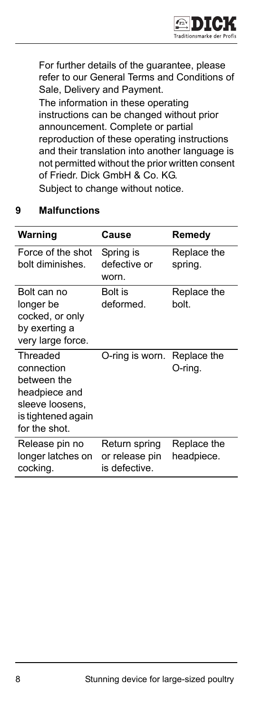

For further details of the guarantee, please refer to our General Terms and Conditions of Sale, Delivery and Payment.

The information in these operating instructions can be changed without prior announcement. Complete or partial reproduction of these operating instructions and their translation into another language is not permitted without the prior written consent of Friedr. Dick GmbH & Co. KG. Subject to change without notice.

### **9 Malfunctions**

| Warning                                                                                                          | Cause                                            | Remedv                    |
|------------------------------------------------------------------------------------------------------------------|--------------------------------------------------|---------------------------|
| Force of the shot<br>bolt diminishes.                                                                            | Spring is<br>defective or<br>worn.               | Replace the<br>spring.    |
| Bolt can no<br>longer be<br>cocked, or only<br>by exerting a<br>very large force.                                | Bolt is<br>deformed.                             | Replace the<br>bolt.      |
| Threaded<br>connection<br>between the<br>headpiece and<br>sleeve loosens,<br>is tightened again<br>for the shot. | O-ring is worn. Replace the                      | O-ring.                   |
| Release pin no<br>longer latches on<br>cocking.                                                                  | Return spring<br>or release pin<br>is defective. | Replace the<br>headpiece. |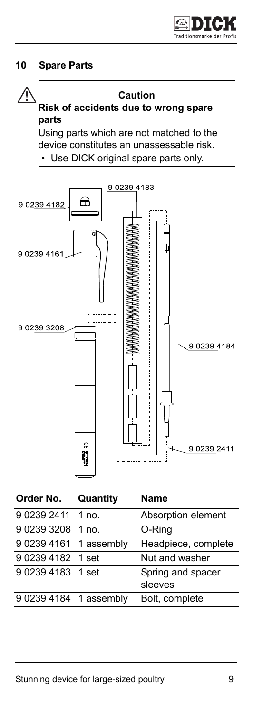# **10 Spare Parts**



#### **Caution**

# **Risk of accidents due to wrong spare parts**

Using parts which are not matched to the device constitutes an unassessable risk. • Use DICK original spare parts only.



| Order No.              | Quantity | <b>Name</b>                  |
|------------------------|----------|------------------------------|
| 9 0239 2411 1 no.      |          | Absorption element           |
| 9 0239 3208 1 no.      |          | O-Ring                       |
| 9 0239 4161 1 assembly |          | Headpiece, complete          |
| 902394182 1 set        |          | Nut and washer               |
| 902394183 1 set        |          | Spring and spacer<br>sleeves |
| 9 0239 4184 1 assembly |          | Bolt, complete               |